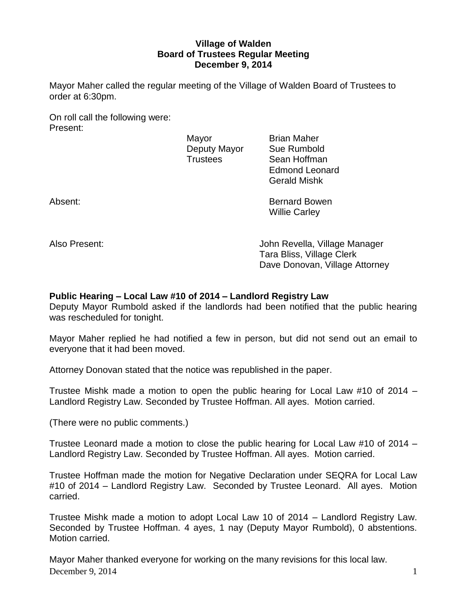# **Village of Walden Board of Trustees Regular Meeting December 9, 2014**

Mayor Maher called the regular meeting of the Village of Walden Board of Trustees to order at 6:30pm.

On roll call the following were: Present:

Mayor **Brian Maher** 

Deputy Mayor Sue Rumbold Trustees Sean Hoffman Edmond Leonard Gerald Mishk

Absent: Bernard Bowen Willie Carley

Also Present: John Revella, Village Manager Tara Bliss, Village Clerk Dave Donovan, Village Attorney

# **Public Hearing – Local Law #10 of 2014 – Landlord Registry Law**

Deputy Mayor Rumbold asked if the landlords had been notified that the public hearing was rescheduled for tonight.

Mayor Maher replied he had notified a few in person, but did not send out an email to everyone that it had been moved.

Attorney Donovan stated that the notice was republished in the paper.

Trustee Mishk made a motion to open the public hearing for Local Law #10 of 2014 – Landlord Registry Law. Seconded by Trustee Hoffman. All ayes. Motion carried.

(There were no public comments.)

Trustee Leonard made a motion to close the public hearing for Local Law #10 of 2014 – Landlord Registry Law. Seconded by Trustee Hoffman. All ayes. Motion carried.

Trustee Hoffman made the motion for Negative Declaration under SEQRA for Local Law #10 of 2014 – Landlord Registry Law. Seconded by Trustee Leonard. All ayes. Motion carried.

Trustee Mishk made a motion to adopt Local Law 10 of 2014 – Landlord Registry Law. Seconded by Trustee Hoffman. 4 ayes, 1 nay (Deputy Mayor Rumbold), 0 abstentions. Motion carried.

December 9, 2014  $\qquad \qquad$  1 Mayor Maher thanked everyone for working on the many revisions for this local law.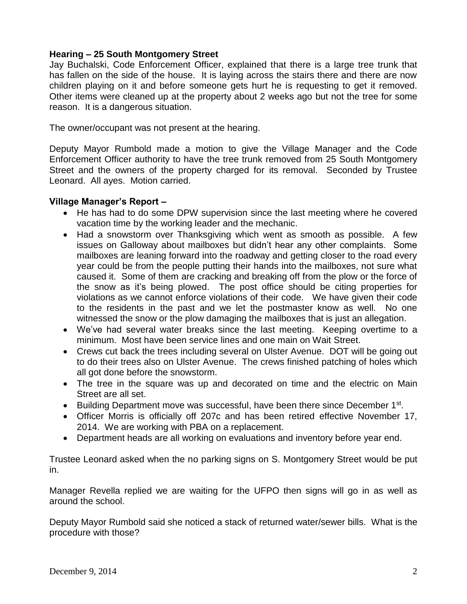# **Hearing – 25 South Montgomery Street**

Jay Buchalski, Code Enforcement Officer, explained that there is a large tree trunk that has fallen on the side of the house. It is laying across the stairs there and there are now children playing on it and before someone gets hurt he is requesting to get it removed. Other items were cleaned up at the property about 2 weeks ago but not the tree for some reason. It is a dangerous situation.

The owner/occupant was not present at the hearing.

Deputy Mayor Rumbold made a motion to give the Village Manager and the Code Enforcement Officer authority to have the tree trunk removed from 25 South Montgomery Street and the owners of the property charged for its removal. Seconded by Trustee Leonard. All ayes. Motion carried.

# **Village Manager's Report –**

- He has had to do some DPW supervision since the last meeting where he covered vacation time by the working leader and the mechanic.
- Had a snowstorm over Thanksgiving which went as smooth as possible. A few issues on Galloway about mailboxes but didn't hear any other complaints. Some mailboxes are leaning forward into the roadway and getting closer to the road every year could be from the people putting their hands into the mailboxes, not sure what caused it. Some of them are cracking and breaking off from the plow or the force of the snow as it's being plowed. The post office should be citing properties for violations as we cannot enforce violations of their code. We have given their code to the residents in the past and we let the postmaster know as well. No one witnessed the snow or the plow damaging the mailboxes that is just an allegation.
- We've had several water breaks since the last meeting. Keeping overtime to a minimum. Most have been service lines and one main on Wait Street.
- Crews cut back the trees including several on Ulster Avenue. DOT will be going out to do their trees also on Ulster Avenue. The crews finished patching of holes which all got done before the snowstorm.
- The tree in the square was up and decorated on time and the electric on Main Street are all set.
- Building Department move was successful, have been there since December 1<sup>st</sup>.
- Officer Morris is officially off 207c and has been retired effective November 17, 2014. We are working with PBA on a replacement.
- Department heads are all working on evaluations and inventory before year end.

Trustee Leonard asked when the no parking signs on S. Montgomery Street would be put in.

Manager Revella replied we are waiting for the UFPO then signs will go in as well as around the school.

Deputy Mayor Rumbold said she noticed a stack of returned water/sewer bills. What is the procedure with those?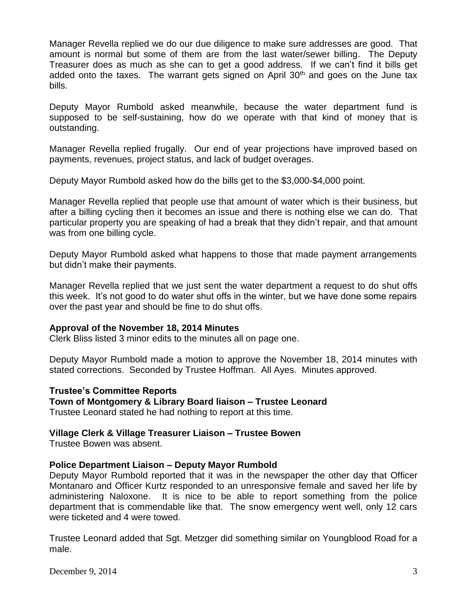Manager Revella replied we do our due diligence to make sure addresses are good. That amount is normal but some of them are from the last water/sewer billing. The Deputy Treasurer does as much as she can to get a good address. If we can't find it bills get added onto the taxes. The warrant gets signed on April  $30<sup>th</sup>$  and goes on the June tax bills.

Deputy Mayor Rumbold asked meanwhile, because the water department fund is supposed to be self-sustaining, how do we operate with that kind of money that is outstanding.

Manager Revella replied frugally. Our end of year projections have improved based on payments, revenues, project status, and lack of budget overages.

Deputy Mayor Rumbold asked how do the bills get to the \$3,000-\$4,000 point.

Manager Revella replied that people use that amount of water which is their business, but after a billing cycling then it becomes an issue and there is nothing else we can do. That particular property you are speaking of had a break that they didn't repair, and that amount was from one billing cycle.

Deputy Mayor Rumbold asked what happens to those that made payment arrangements but didn't make their payments.

Manager Revella replied that we just sent the water department a request to do shut offs this week. It's not good to do water shut offs in the winter, but we have done some repairs over the past year and should be fine to do shut offs.

#### **Approval of the November 18, 2014 Minutes**

Clerk Bliss listed 3 minor edits to the minutes all on page one.

Deputy Mayor Rumbold made a motion to approve the November 18, 2014 minutes with stated corrections. Seconded by Trustee Hoffman. All Ayes. Minutes approved.

#### **Trustee's Committee Reports**

**Town of Montgomery & Library Board liaison – Trustee Leonard**

Trustee Leonard stated he had nothing to report at this time.

#### **Village Clerk & Village Treasurer Liaison – Trustee Bowen**

Trustee Bowen was absent.

#### **Police Department Liaison – Deputy Mayor Rumbold**

Deputy Mayor Rumbold reported that it was in the newspaper the other day that Officer Montanaro and Officer Kurtz responded to an unresponsive female and saved her life by administering Naloxone. It is nice to be able to report something from the police department that is commendable like that. The snow emergency went well, only 12 cars were ticketed and 4 were towed.

Trustee Leonard added that Sgt. Metzger did something similar on Youngblood Road for a male.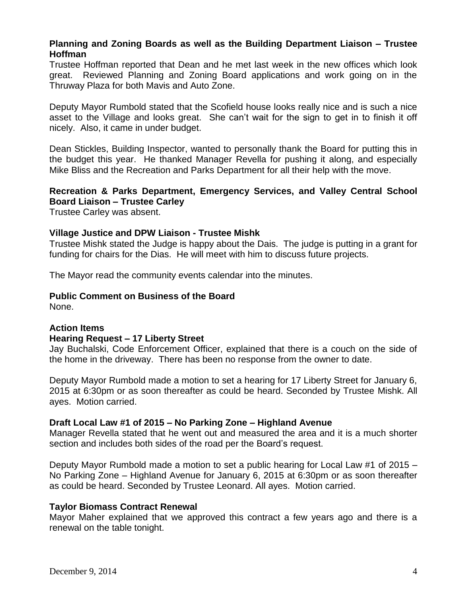# **Planning and Zoning Boards as well as the Building Department Liaison – Trustee Hoffman**

Trustee Hoffman reported that Dean and he met last week in the new offices which look great. Reviewed Planning and Zoning Board applications and work going on in the Thruway Plaza for both Mavis and Auto Zone.

Deputy Mayor Rumbold stated that the Scofield house looks really nice and is such a nice asset to the Village and looks great. She can't wait for the sign to get in to finish it off nicely. Also, it came in under budget.

Dean Stickles, Building Inspector, wanted to personally thank the Board for putting this in the budget this year. He thanked Manager Revella for pushing it along, and especially Mike Bliss and the Recreation and Parks Department for all their help with the move.

# **Recreation & Parks Department, Emergency Services, and Valley Central School Board Liaison – Trustee Carley**

Trustee Carley was absent.

# **Village Justice and DPW Liaison - Trustee Mishk**

Trustee Mishk stated the Judge is happy about the Dais. The judge is putting in a grant for funding for chairs for the Dias. He will meet with him to discuss future projects.

The Mayor read the community events calendar into the minutes.

#### **Public Comment on Business of the Board**

None.

#### **Action Items**

#### **Hearing Request – 17 Liberty Street**

Jay Buchalski, Code Enforcement Officer, explained that there is a couch on the side of the home in the driveway. There has been no response from the owner to date.

Deputy Mayor Rumbold made a motion to set a hearing for 17 Liberty Street for January 6, 2015 at 6:30pm or as soon thereafter as could be heard. Seconded by Trustee Mishk. All ayes. Motion carried.

#### **Draft Local Law #1 of 2015 – No Parking Zone – Highland Avenue**

Manager Revella stated that he went out and measured the area and it is a much shorter section and includes both sides of the road per the Board's request.

Deputy Mayor Rumbold made a motion to set a public hearing for Local Law #1 of 2015 – No Parking Zone – Highland Avenue for January 6, 2015 at 6:30pm or as soon thereafter as could be heard. Seconded by Trustee Leonard. All ayes. Motion carried.

#### **Taylor Biomass Contract Renewal**

Mayor Maher explained that we approved this contract a few years ago and there is a renewal on the table tonight.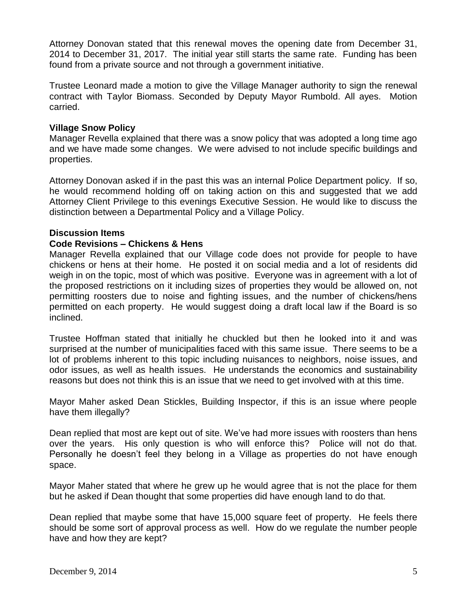Attorney Donovan stated that this renewal moves the opening date from December 31, 2014 to December 31, 2017. The initial year still starts the same rate. Funding has been found from a private source and not through a government initiative.

Trustee Leonard made a motion to give the Village Manager authority to sign the renewal contract with Taylor Biomass. Seconded by Deputy Mayor Rumbold. All ayes. Motion carried.

# **Village Snow Policy**

Manager Revella explained that there was a snow policy that was adopted a long time ago and we have made some changes. We were advised to not include specific buildings and properties.

Attorney Donovan asked if in the past this was an internal Police Department policy. If so, he would recommend holding off on taking action on this and suggested that we add Attorney Client Privilege to this evenings Executive Session. He would like to discuss the distinction between a Departmental Policy and a Village Policy.

#### **Discussion Items**

# **Code Revisions – Chickens & Hens**

Manager Revella explained that our Village code does not provide for people to have chickens or hens at their home. He posted it on social media and a lot of residents did weigh in on the topic, most of which was positive. Everyone was in agreement with a lot of the proposed restrictions on it including sizes of properties they would be allowed on, not permitting roosters due to noise and fighting issues, and the number of chickens/hens permitted on each property. He would suggest doing a draft local law if the Board is so inclined.

Trustee Hoffman stated that initially he chuckled but then he looked into it and was surprised at the number of municipalities faced with this same issue. There seems to be a lot of problems inherent to this topic including nuisances to neighbors, noise issues, and odor issues, as well as health issues. He understands the economics and sustainability reasons but does not think this is an issue that we need to get involved with at this time.

Mayor Maher asked Dean Stickles, Building Inspector, if this is an issue where people have them illegally?

Dean replied that most are kept out of site. We've had more issues with roosters than hens over the years. His only question is who will enforce this? Police will not do that. Personally he doesn't feel they belong in a Village as properties do not have enough space.

Mayor Maher stated that where he grew up he would agree that is not the place for them but he asked if Dean thought that some properties did have enough land to do that.

Dean replied that maybe some that have 15,000 square feet of property. He feels there should be some sort of approval process as well. How do we regulate the number people have and how they are kept?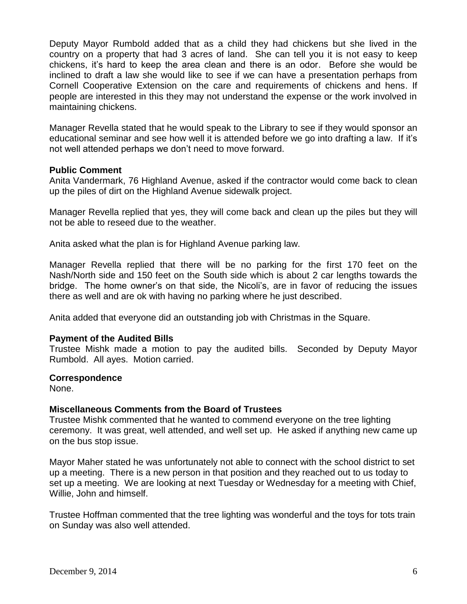Deputy Mayor Rumbold added that as a child they had chickens but she lived in the country on a property that had 3 acres of land. She can tell you it is not easy to keep chickens, it's hard to keep the area clean and there is an odor. Before she would be inclined to draft a law she would like to see if we can have a presentation perhaps from Cornell Cooperative Extension on the care and requirements of chickens and hens. If people are interested in this they may not understand the expense or the work involved in maintaining chickens.

Manager Revella stated that he would speak to the Library to see if they would sponsor an educational seminar and see how well it is attended before we go into drafting a law. If it's not well attended perhaps we don't need to move forward.

# **Public Comment**

Anita Vandermark, 76 Highland Avenue, asked if the contractor would come back to clean up the piles of dirt on the Highland Avenue sidewalk project.

Manager Revella replied that yes, they will come back and clean up the piles but they will not be able to reseed due to the weather.

Anita asked what the plan is for Highland Avenue parking law.

Manager Revella replied that there will be no parking for the first 170 feet on the Nash/North side and 150 feet on the South side which is about 2 car lengths towards the bridge. The home owner's on that side, the Nicoli's, are in favor of reducing the issues there as well and are ok with having no parking where he just described.

Anita added that everyone did an outstanding job with Christmas in the Square.

#### **Payment of the Audited Bills**

Trustee Mishk made a motion to pay the audited bills. Seconded by Deputy Mayor Rumbold. All ayes. Motion carried.

#### **Correspondence**

None.

#### **Miscellaneous Comments from the Board of Trustees**

Trustee Mishk commented that he wanted to commend everyone on the tree lighting ceremony. It was great, well attended, and well set up. He asked if anything new came up on the bus stop issue.

Mayor Maher stated he was unfortunately not able to connect with the school district to set up a meeting. There is a new person in that position and they reached out to us today to set up a meeting. We are looking at next Tuesday or Wednesday for a meeting with Chief, Willie, John and himself.

Trustee Hoffman commented that the tree lighting was wonderful and the toys for tots train on Sunday was also well attended.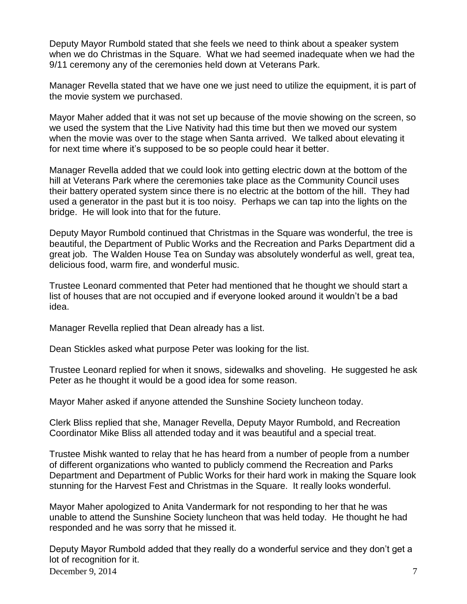Deputy Mayor Rumbold stated that she feels we need to think about a speaker system when we do Christmas in the Square. What we had seemed inadequate when we had the 9/11 ceremony any of the ceremonies held down at Veterans Park.

Manager Revella stated that we have one we just need to utilize the equipment, it is part of the movie system we purchased.

Mayor Maher added that it was not set up because of the movie showing on the screen, so we used the system that the Live Nativity had this time but then we moved our system when the movie was over to the stage when Santa arrived. We talked about elevating it for next time where it's supposed to be so people could hear it better.

Manager Revella added that we could look into getting electric down at the bottom of the hill at Veterans Park where the ceremonies take place as the Community Council uses their battery operated system since there is no electric at the bottom of the hill. They had used a generator in the past but it is too noisy. Perhaps we can tap into the lights on the bridge. He will look into that for the future.

Deputy Mayor Rumbold continued that Christmas in the Square was wonderful, the tree is beautiful, the Department of Public Works and the Recreation and Parks Department did a great job. The Walden House Tea on Sunday was absolutely wonderful as well, great tea, delicious food, warm fire, and wonderful music.

Trustee Leonard commented that Peter had mentioned that he thought we should start a list of houses that are not occupied and if everyone looked around it wouldn't be a bad idea.

Manager Revella replied that Dean already has a list.

Dean Stickles asked what purpose Peter was looking for the list.

Trustee Leonard replied for when it snows, sidewalks and shoveling. He suggested he ask Peter as he thought it would be a good idea for some reason.

Mayor Maher asked if anyone attended the Sunshine Society luncheon today.

Clerk Bliss replied that she, Manager Revella, Deputy Mayor Rumbold, and Recreation Coordinator Mike Bliss all attended today and it was beautiful and a special treat.

Trustee Mishk wanted to relay that he has heard from a number of people from a number of different organizations who wanted to publicly commend the Recreation and Parks Department and Department of Public Works for their hard work in making the Square look stunning for the Harvest Fest and Christmas in the Square. It really looks wonderful.

Mayor Maher apologized to Anita Vandermark for not responding to her that he was unable to attend the Sunshine Society luncheon that was held today. He thought he had responded and he was sorry that he missed it.

December 9, 2014  $\overline{7}$ Deputy Mayor Rumbold added that they really do a wonderful service and they don't get a lot of recognition for it.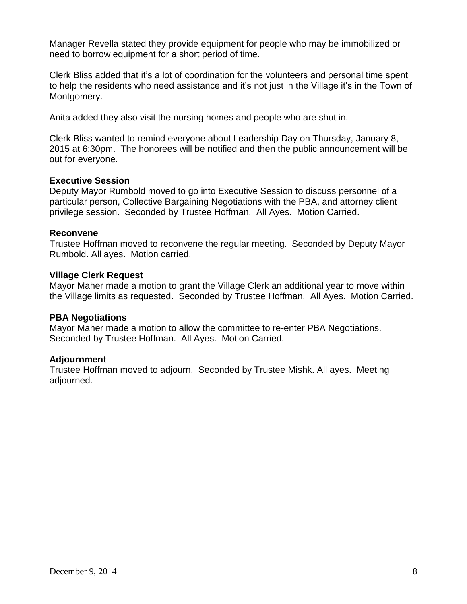Manager Revella stated they provide equipment for people who may be immobilized or need to borrow equipment for a short period of time.

Clerk Bliss added that it's a lot of coordination for the volunteers and personal time spent to help the residents who need assistance and it's not just in the Village it's in the Town of Montgomery.

Anita added they also visit the nursing homes and people who are shut in.

Clerk Bliss wanted to remind everyone about Leadership Day on Thursday, January 8, 2015 at 6:30pm. The honorees will be notified and then the public announcement will be out for everyone.

# **Executive Session**

Deputy Mayor Rumbold moved to go into Executive Session to discuss personnel of a particular person, Collective Bargaining Negotiations with the PBA, and attorney client privilege session. Seconded by Trustee Hoffman. All Ayes. Motion Carried.

# **Reconvene**

Trustee Hoffman moved to reconvene the regular meeting. Seconded by Deputy Mayor Rumbold. All ayes. Motion carried.

# **Village Clerk Request**

Mayor Maher made a motion to grant the Village Clerk an additional year to move within the Village limits as requested. Seconded by Trustee Hoffman. All Ayes. Motion Carried.

#### **PBA Negotiations**

Mayor Maher made a motion to allow the committee to re-enter PBA Negotiations. Seconded by Trustee Hoffman. All Ayes. Motion Carried.

# **Adjournment**

Trustee Hoffman moved to adjourn. Seconded by Trustee Mishk. All ayes. Meeting adjourned.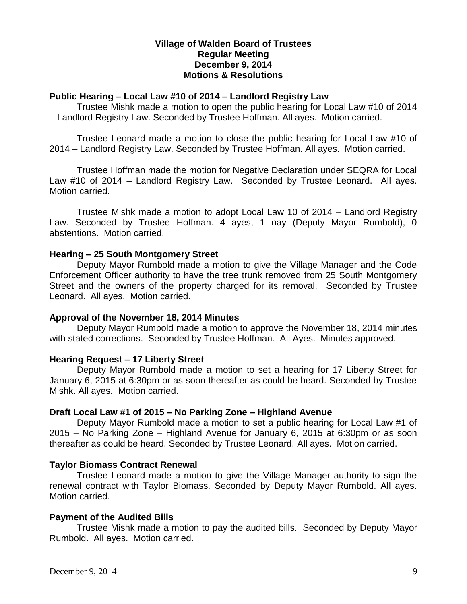# **Village of Walden Board of Trustees Regular Meeting December 9, 2014 Motions & Resolutions**

# **Public Hearing – Local Law #10 of 2014 – Landlord Registry Law**

Trustee Mishk made a motion to open the public hearing for Local Law #10 of 2014 – Landlord Registry Law. Seconded by Trustee Hoffman. All ayes. Motion carried.

Trustee Leonard made a motion to close the public hearing for Local Law #10 of 2014 – Landlord Registry Law. Seconded by Trustee Hoffman. All ayes. Motion carried.

Trustee Hoffman made the motion for Negative Declaration under SEQRA for Local Law #10 of 2014 – Landlord Registry Law. Seconded by Trustee Leonard. All ayes. Motion carried.

Trustee Mishk made a motion to adopt Local Law 10 of 2014 – Landlord Registry Law. Seconded by Trustee Hoffman. 4 ayes, 1 nay (Deputy Mayor Rumbold), 0 abstentions. Motion carried.

# **Hearing – 25 South Montgomery Street**

Deputy Mayor Rumbold made a motion to give the Village Manager and the Code Enforcement Officer authority to have the tree trunk removed from 25 South Montgomery Street and the owners of the property charged for its removal. Seconded by Trustee Leonard. All ayes. Motion carried.

#### **Approval of the November 18, 2014 Minutes**

Deputy Mayor Rumbold made a motion to approve the November 18, 2014 minutes with stated corrections. Seconded by Trustee Hoffman. All Ayes. Minutes approved.

#### **Hearing Request – 17 Liberty Street**

Deputy Mayor Rumbold made a motion to set a hearing for 17 Liberty Street for January 6, 2015 at 6:30pm or as soon thereafter as could be heard. Seconded by Trustee Mishk. All ayes. Motion carried.

# **Draft Local Law #1 of 2015 – No Parking Zone – Highland Avenue**

Deputy Mayor Rumbold made a motion to set a public hearing for Local Law #1 of 2015 – No Parking Zone – Highland Avenue for January 6, 2015 at 6:30pm or as soon thereafter as could be heard. Seconded by Trustee Leonard. All ayes. Motion carried.

#### **Taylor Biomass Contract Renewal**

Trustee Leonard made a motion to give the Village Manager authority to sign the renewal contract with Taylor Biomass. Seconded by Deputy Mayor Rumbold. All ayes. Motion carried.

#### **Payment of the Audited Bills**

Trustee Mishk made a motion to pay the audited bills. Seconded by Deputy Mayor Rumbold. All ayes. Motion carried.